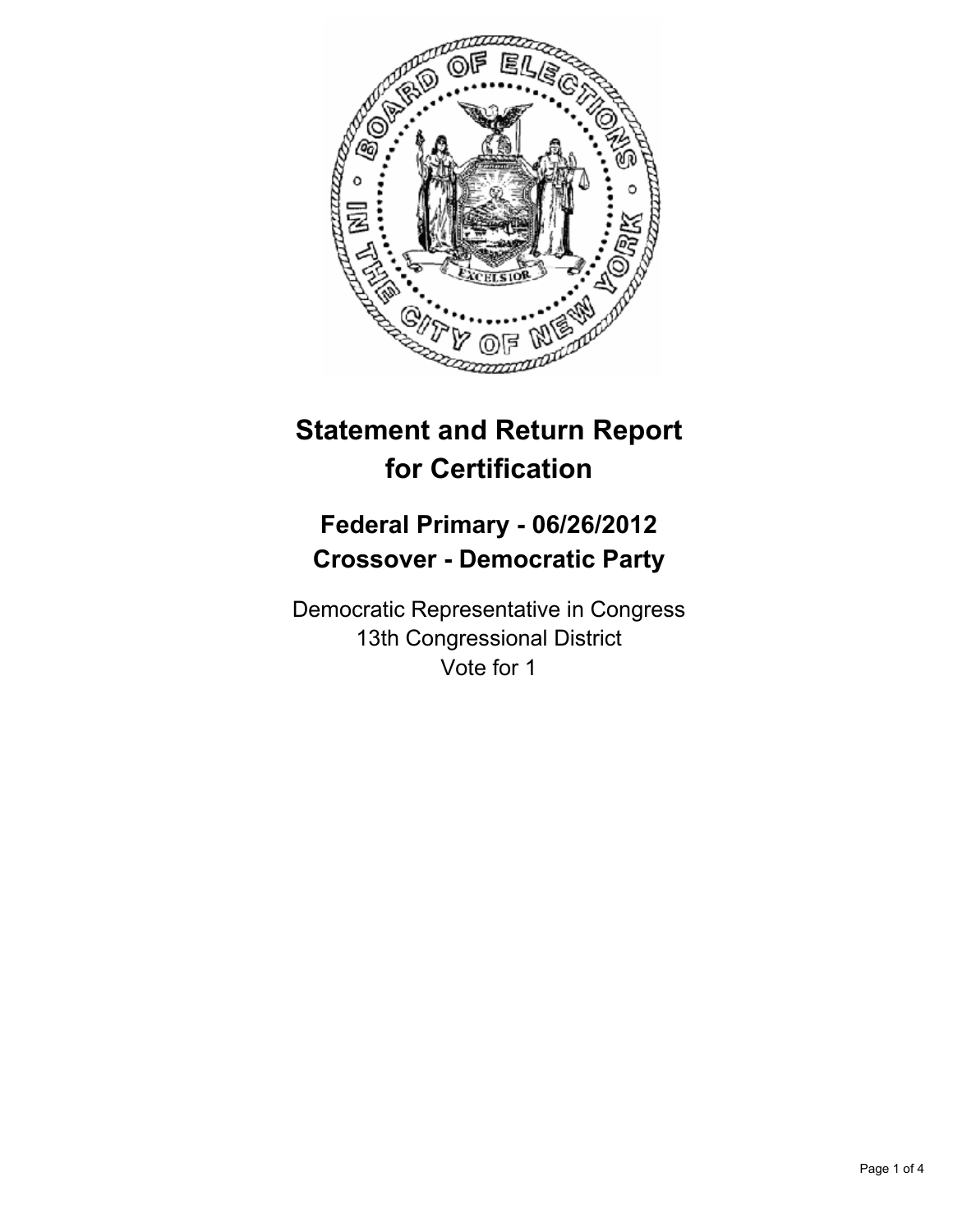

# **Statement and Return Report for Certification**

## **Federal Primary - 06/26/2012 Crossover - Democratic Party**

Democratic Representative in Congress 13th Congressional District Vote for 1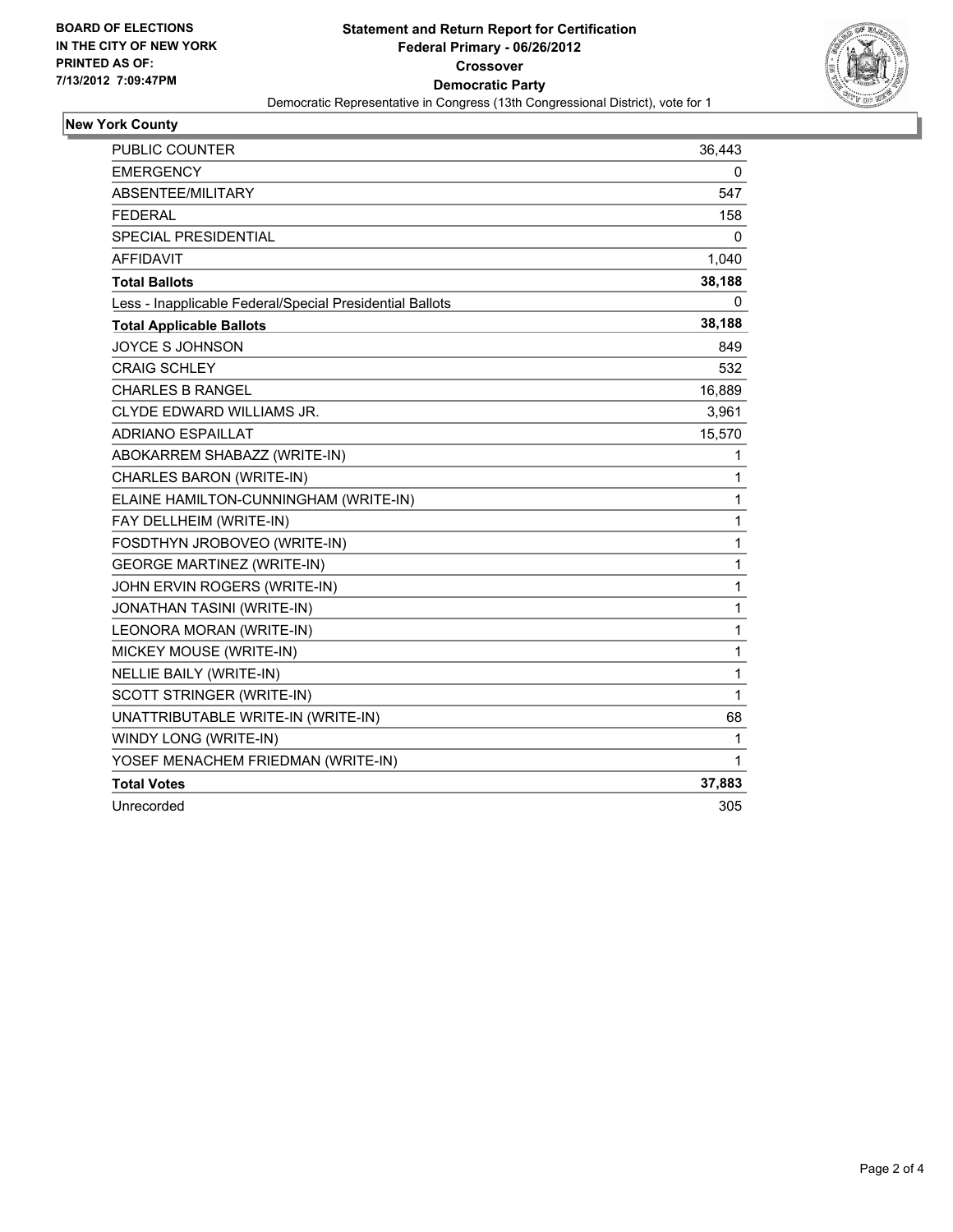

### **New York County**

| <b>PUBLIC COUNTER</b>                                    | 36,443 |
|----------------------------------------------------------|--------|
| <b>EMERGENCY</b>                                         | 0      |
| ABSENTEE/MILITARY                                        | 547    |
| <b>FEDERAL</b>                                           | 158    |
| <b>SPECIAL PRESIDENTIAL</b>                              | 0      |
| <b>AFFIDAVIT</b>                                         | 1,040  |
| <b>Total Ballots</b>                                     | 38,188 |
| Less - Inapplicable Federal/Special Presidential Ballots | 0      |
| <b>Total Applicable Ballots</b>                          | 38,188 |
| <b>JOYCE S JOHNSON</b>                                   | 849    |
| <b>CRAIG SCHLEY</b>                                      | 532    |
| <b>CHARLES B RANGEL</b>                                  | 16,889 |
| <b>CLYDE EDWARD WILLIAMS JR.</b>                         | 3,961  |
| <b>ADRIANO ESPAILLAT</b>                                 | 15,570 |
| ABOKARREM SHABAZZ (WRITE-IN)                             | 1      |
| CHARLES BARON (WRITE-IN)                                 | 1      |
| ELAINE HAMILTON-CUNNINGHAM (WRITE-IN)                    | 1      |
| FAY DELLHEIM (WRITE-IN)                                  | 1      |
| FOSDTHYN JROBOVEO (WRITE-IN)                             | 1      |
| <b>GEORGE MARTINEZ (WRITE-IN)</b>                        | 1      |
| JOHN ERVIN ROGERS (WRITE-IN)                             | 1      |
| <b>JONATHAN TASINI (WRITE-IN)</b>                        | 1      |
| LEONORA MORAN (WRITE-IN)                                 | 1      |
| MICKEY MOUSE (WRITE-IN)                                  | 1      |
| <b>NELLIE BAILY (WRITE-IN)</b>                           | 1      |
| SCOTT STRINGER (WRITE-IN)                                | 1      |
| UNATTRIBUTABLE WRITE-IN (WRITE-IN)                       | 68     |
| WINDY LONG (WRITE-IN)                                    | 1      |
| YOSEF MENACHEM FRIEDMAN (WRITE-IN)                       | 1      |
| <b>Total Votes</b>                                       | 37,883 |
| Unrecorded                                               | 305    |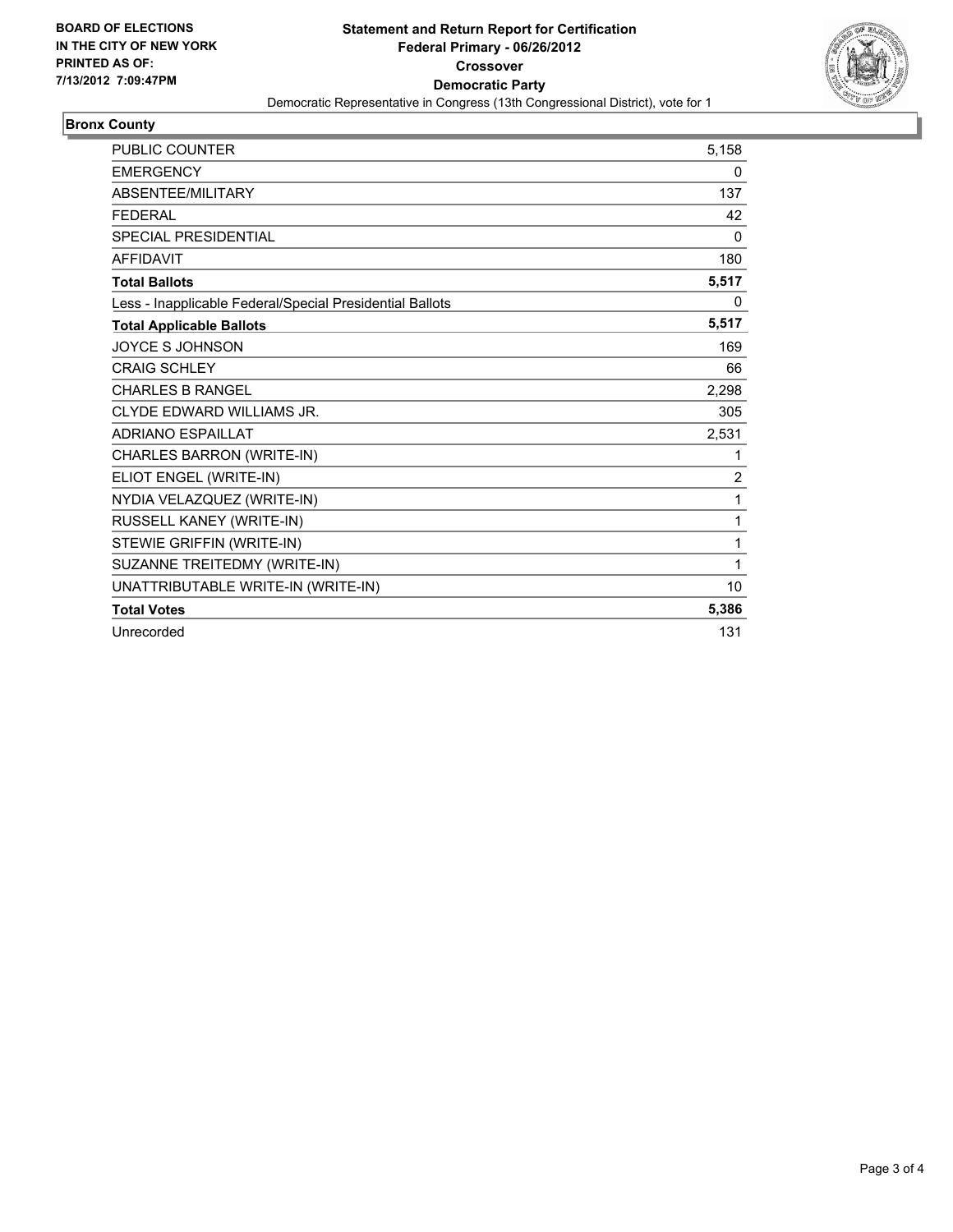

#### **Bronx County**

| <b>PUBLIC COUNTER</b>                                    | 5,158          |
|----------------------------------------------------------|----------------|
| <b>EMERGENCY</b>                                         | 0              |
| ABSENTEE/MILITARY                                        | 137            |
| <b>FEDERAL</b>                                           | 42             |
| <b>SPECIAL PRESIDENTIAL</b>                              | 0              |
| <b>AFFIDAVIT</b>                                         | 180            |
| <b>Total Ballots</b>                                     | 5,517          |
| Less - Inapplicable Federal/Special Presidential Ballots | 0              |
| <b>Total Applicable Ballots</b>                          | 5,517          |
| <b>JOYCE S JOHNSON</b>                                   | 169            |
| <b>CRAIG SCHLEY</b>                                      | 66             |
| <b>CHARLES B RANGEL</b>                                  | 2,298          |
| CLYDE EDWARD WILLIAMS JR.                                | 305            |
| <b>ADRIANO ESPAILLAT</b>                                 | 2,531          |
| CHARLES BARRON (WRITE-IN)                                | 1              |
| ELIOT ENGEL (WRITE-IN)                                   | $\overline{2}$ |
| NYDIA VELAZQUEZ (WRITE-IN)                               | 1              |
| RUSSELL KANEY (WRITE-IN)                                 | 1              |
| STEWIE GRIFFIN (WRITE-IN)                                | 1              |
| SUZANNE TREITEDMY (WRITE-IN)                             | 1              |
| UNATTRIBUTABLE WRITE-IN (WRITE-IN)                       | 10             |
| <b>Total Votes</b>                                       | 5,386          |
| Unrecorded                                               | 131            |